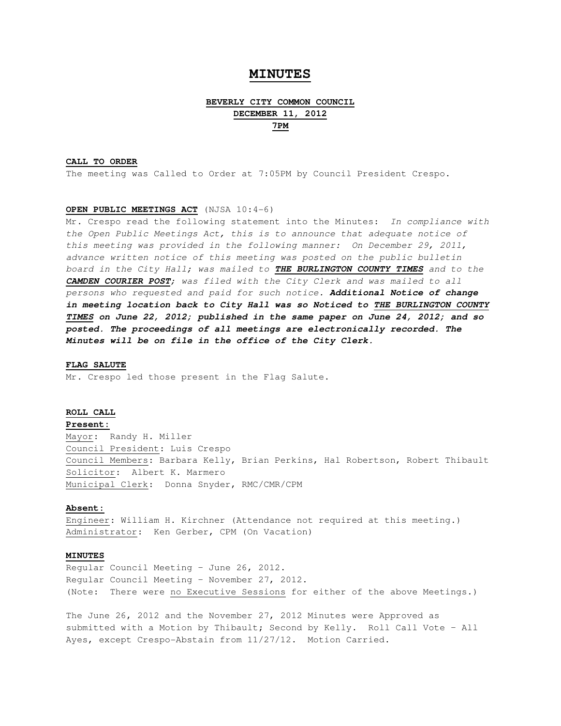# **MINUTES**

# **BEVERLY CITY COMMON COUNCIL DECEMBER 11, 2012 7PM**

## **CALL TO ORDER**

The meeting was Called to Order at 7:05PM by Council President Crespo.

## **OPEN PUBLIC MEETINGS ACT** (NJSA 10:4-6)

Mr. Crespo read the following statement into the Minutes: In compliance with the Open Public Meetings Act, this is to announce that adequate notice of this meeting was provided in the following manner: On December 29, 2011, advance written notice of this meeting was posted on the public bulletin board in the City Hall; was mailed to **THE BURLINGTON COUNTY TIMES** and to the **CAMDEN COURIER POST**; was filed with the City Clerk and was mailed to all persons who requested and paid for such notice. **Additional Notice of change in meeting location back to City Hall was so Noticed to THE BURLINGTON COUNTY TIMES on June 22, 2012; published in the same paper on June 24, 2012; and so posted. The proceedings of all meetings are electronically recorded. The Minutes will be on file in the office of the City Clerk.** 

#### **FLAG SALUTE**

Mr. Crespo led those present in the Flag Salute.

# **ROLL CALL**

# **Present:**

Mayor: Randy H. Miller Council President: Luis Crespo Council Members: Barbara Kelly, Brian Perkins, Hal Robertson, Robert Thibault Solicitor: Albert K. Marmero Municipal Clerk: Donna Snyder, RMC/CMR/CPM

# **Absent:**

Engineer: William H. Kirchner (Attendance not required at this meeting.) Administrator: Ken Gerber, CPM (On Vacation)

# **MINUTES**

Regular Council Meeting – June 26, 2012. Regular Council Meeting – November 27, 2012. (Note: There were no Executive Sessions for either of the above Meetings.)

The June 26, 2012 and the November 27, 2012 Minutes were Approved as submitted with a Motion by Thibault; Second by Kelly. Roll Call Vote – All Ayes, except Crespo-Abstain from 11/27/12. Motion Carried.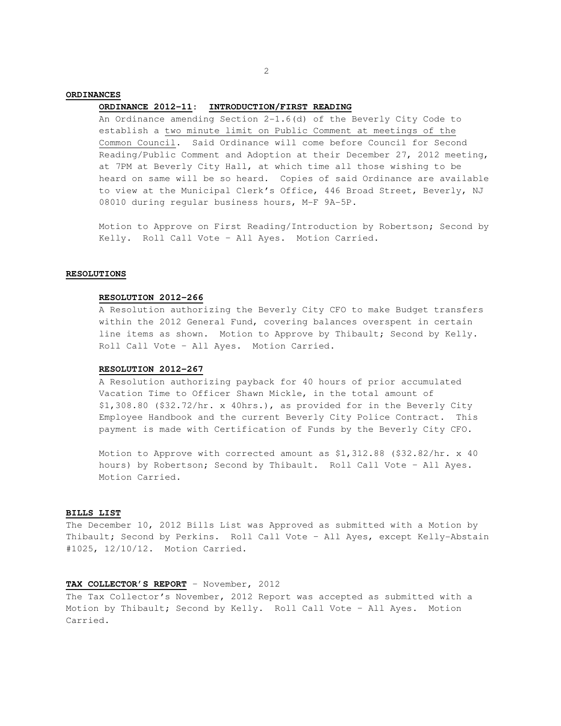# **ORDINANCES**

#### **ORDINANCE 2012-11: INTRODUCTION/FIRST READING**

 An Ordinance amending Section 2-1.6(d) of the Beverly City Code to establish a two minute limit on Public Comment at meetings of the Common Council. Said Ordinance will come before Council for Second Reading/Public Comment and Adoption at their December 27, 2012 meeting, at 7PM at Beverly City Hall, at which time all those wishing to be heard on same will be so heard. Copies of said Ordinance are available to view at the Municipal Clerk's Office, 446 Broad Street, Beverly, NJ 08010 during regular business hours, M-F 9A-5P.

 Motion to Approve on First Reading/Introduction by Robertson; Second by Kelly. Roll Call Vote – All Ayes. Motion Carried.

#### **RESOLUTIONS**

## **RESOLUTION 2012-266**

A Resolution authorizing the Beverly City CFO to make Budget transfers within the 2012 General Fund, covering balances overspent in certain line items as shown. Motion to Approve by Thibault; Second by Kelly. Roll Call Vote – All Ayes. Motion Carried.

## **RESOLUTION 2012-267**

 A Resolution authorizing payback for 40 hours of prior accumulated Vacation Time to Officer Shawn Mickle, in the total amount of \$1,308.80 (\$32.72/hr. x 40hrs.), as provided for in the Beverly City Employee Handbook and the current Beverly City Police Contract. This payment is made with Certification of Funds by the Beverly City CFO.

 Motion to Approve with corrected amount as \$1,312.88 (\$32.82/hr. x 40 hours) by Robertson; Second by Thibault. Roll Call Vote – All Ayes. Motion Carried.

### **BILLS LIST**

The December 10, 2012 Bills List was Approved as submitted with a Motion by Thibault; Second by Perkins. Roll Call Vote – All Ayes, except Kelly-Abstain #1025, 12/10/12. Motion Carried.

# **TAX COLLECTOR'S REPORT** – November, 2012

The Tax Collector's November, 2012 Report was accepted as submitted with a Motion by Thibault; Second by Kelly. Roll Call Vote – All Ayes. Motion Carried.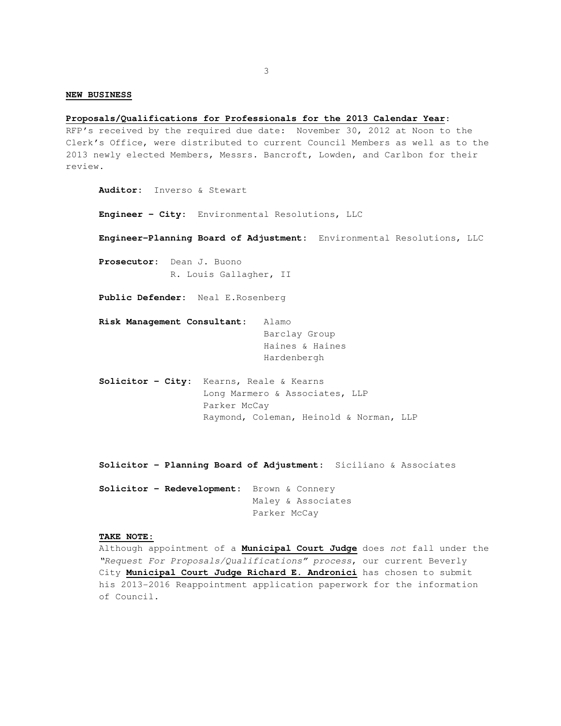#### **NEW BUSINESS**

#### **Proposals/Qualifications for Professionals for the 2013 Calendar Year**:

RFP's received by the required due date: November 30, 2012 at Noon to the Clerk's Office, were distributed to current Council Members as well as to the 2013 newly elected Members, Messrs. Bancroft, Lowden, and Carlbon for their review.

 **Auditor:** Inverso & Stewart

 **Engineer – City:** Environmental Resolutions, LLC

 **Engineer–Planning Board of Adjustment:** Environmental Resolutions, LLC

 **Prosecutor:** Dean J. Buono R. Louis Gallagher, II

 **Public Defender:** Neal E.Rosenberg

 **Risk Management Consultant:** Alamo Barclay Group Haines & Haines Hardenbergh

 **Solicitor – City:** Kearns, Reale & Kearns Long Marmero & Associates, LLP Parker McCay Raymond, Coleman, Heinold & Norman, LLP

 **Solicitor – Planning Board of Adjustment:** Siciliano & Associates

**Solicitor – Redevelopment:** Brown & Connery Maley & Associates Parker McCay

#### **TAKE NOTE:**

 Although appointment of a **Municipal Court Judge** does not fall under the "Request For Proposals/Qualifications" process, our current Beverly City **Municipal Court Judge Richard E. Andronici** has chosen to submit his 2013-2016 Reappointment application paperwork for the information of Council.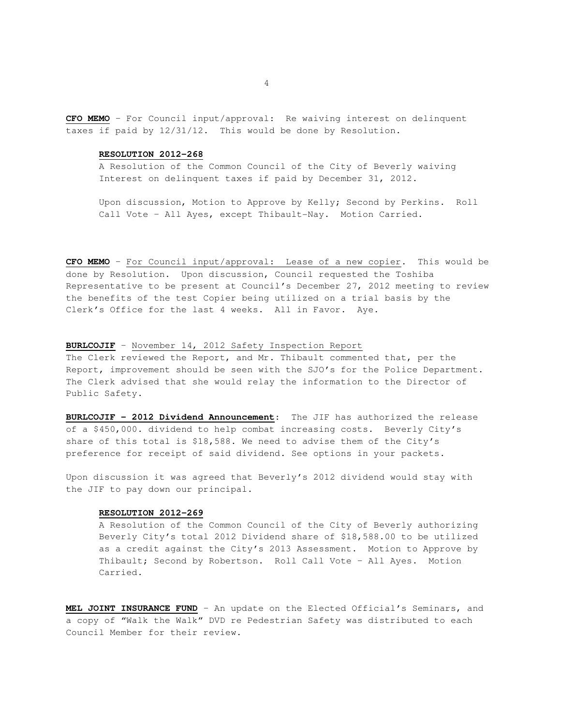**CFO MEMO** – For Council input/approval: Re waiving interest on delinquent taxes if paid by 12/31/12. This would be done by Resolution.

#### **RESOLUTION 2012-268**

 A Resolution of the Common Council of the City of Beverly waiving Interest on delinquent taxes if paid by December 31, 2012.

 Upon discussion, Motion to Approve by Kelly; Second by Perkins. Roll Call Vote – All Ayes, except Thibault-Nay. Motion Carried.

**CFO MEMO** – For Council input/approval: Lease of a new copier. This would be done by Resolution. Upon discussion, Council requested the Toshiba Representative to be present at Council's December 27, 2012 meeting to review the benefits of the test Copier being utilized on a trial basis by the Clerk's Office for the last 4 weeks. All in Favor. Aye.

## **BURLCOJIF** – November 14, 2012 Safety Inspection Report

The Clerk reviewed the Report, and Mr. Thibault commented that, per the Report, improvement should be seen with the SJO's for the Police Department. The Clerk advised that she would relay the information to the Director of Public Safety.

**BURLCOJIF – 2012 Dividend Announcement**: The JIF has authorized the release of a \$450,000. dividend to help combat increasing costs. Beverly City's share of this total is \$18,588. We need to advise them of the City's preference for receipt of said dividend. See options in your packets.

Upon discussion it was agreed that Beverly's 2012 dividend would stay with the JIF to pay down our principal.

## **RESOLUTION 2012-269**

 A Resolution of the Common Council of the City of Beverly authorizing Beverly City's total 2012 Dividend share of \$18,588.00 to be utilized as a credit against the City's 2013 Assessment. Motion to Approve by Thibault; Second by Robertson. Roll Call Vote – All Ayes. Motion Carried.

**MEL JOINT INSURANCE FUND** – An update on the Elected Official's Seminars, and a copy of "Walk the Walk" DVD re Pedestrian Safety was distributed to each Council Member for their review.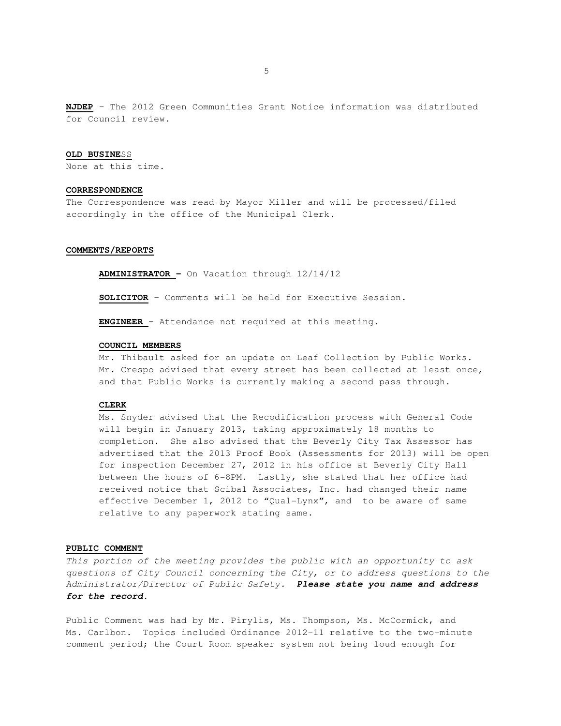**NJDEP** – The 2012 Green Communities Grant Notice information was distributed for Council review.

#### **OLD BUSINE**SS

None at this time.

# **CORRESPONDENCE**

The Correspondence was read by Mayor Miller and will be processed/filed accordingly in the office of the Municipal Clerk.

## **COMMENTS/REPORTS**

**ADMINISTRATOR –** On Vacation through 12/14/12

**SOLICITOR** – Comments will be held for Executive Session.

**ENGINEER** – Attendance not required at this meeting.

#### **COUNCIL MEMBERS**

 Mr. Thibault asked for an update on Leaf Collection by Public Works. Mr. Crespo advised that every street has been collected at least once, and that Public Works is currently making a second pass through.

## **CLERK**

 Ms. Snyder advised that the Recodification process with General Code will begin in January 2013, taking approximately 18 months to completion. She also advised that the Beverly City Tax Assessor has advertised that the 2013 Proof Book (Assessments for 2013) will be open for inspection December 27, 2012 in his office at Beverly City Hall between the hours of 6-8PM. Lastly, she stated that her office had received notice that Scibal Associates, Inc. had changed their name effective December 1, 2012 to "Qual-Lynx", and to be aware of same relative to any paperwork stating same.

## **PUBLIC COMMENT**

This portion of the meeting provides the public with an opportunity to ask questions of City Council concerning the City, or to address questions to the Administrator/Director of Public Safety. **Please state you name and address for the record.** 

Public Comment was had by Mr. Pirylis, Ms. Thompson, Ms. McCormick, and Ms. Carlbon. Topics included Ordinance 2012-11 relative to the two-minute comment period; the Court Room speaker system not being loud enough for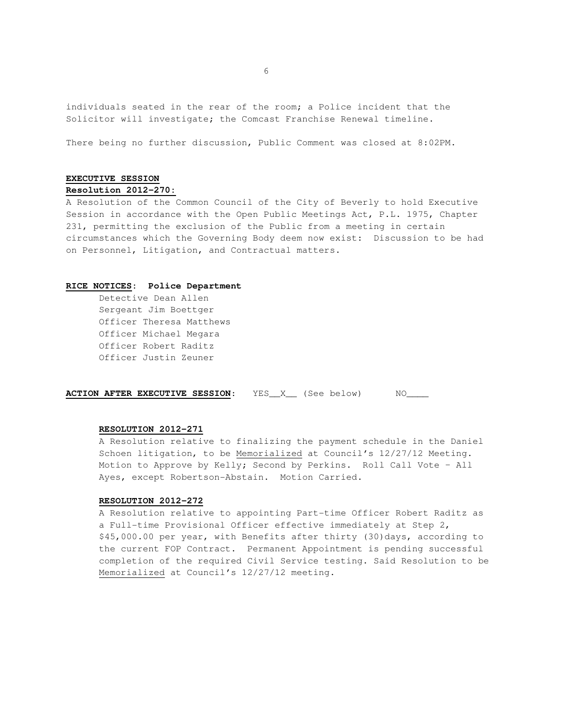individuals seated in the rear of the room; a Police incident that the Solicitor will investigate; the Comcast Franchise Renewal timeline.

There being no further discussion, Public Comment was closed at 8:02PM.

# **EXECUTIVE SESSION**

# **Resolution 2012-270:**

A Resolution of the Common Council of the City of Beverly to hold Executive Session in accordance with the Open Public Meetings Act, P.L. 1975, Chapter 231, permitting the exclusion of the Public from a meeting in certain circumstances which the Governing Body deem now exist: Discussion to be had on Personnel, Litigation, and Contractual matters.

### **RICE NOTICES: Police Department**

 Detective Dean Allen Sergeant Jim Boettger Officer Theresa Matthews Officer Michael Megara Officer Robert Raditz Officer Justin Zeuner

**ACTION AFTER EXECUTIVE SESSION:** YES\_X\_\_ (See below) MO\_\_\_\_

# **RESOLUTION 2012-271**

 A Resolution relative to finalizing the payment schedule in the Daniel Schoen litigation, to be Memorialized at Council's 12/27/12 Meeting. Motion to Approve by Kelly; Second by Perkins. Roll Call Vote – All Ayes, except Robertson-Abstain. Motion Carried.

#### **RESOLUTION 2012-272**

 A Resolution relative to appointing Part-time Officer Robert Raditz as a Full-time Provisional Officer effective immediately at Step 2, \$45,000.00 per year, with Benefits after thirty (30)days, according to the current FOP Contract. Permanent Appointment is pending successful completion of the required Civil Service testing. Said Resolution to be Memorialized at Council's 12/27/12 meeting.